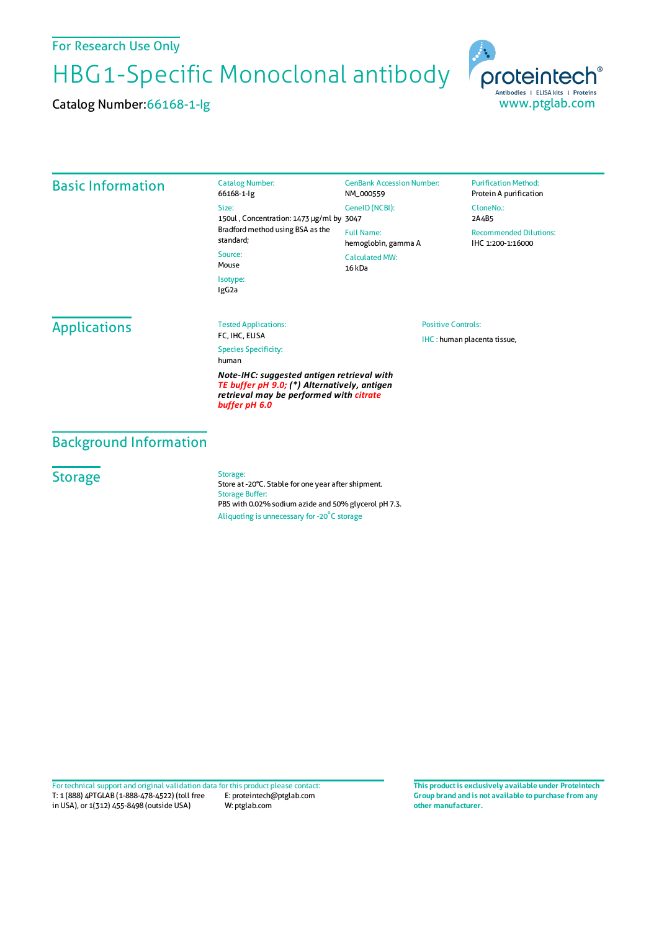### For Research Use Only

HBG1-Specific Monoclonal antibody

Catalog Number:66168-1-Ig



#### Basic Information Catalog Number: 66168-1-Ig Size: 150ul , Concentration: 1473 μg/ml by 3047 Bradford method using BSA asthe standard; Source: Mouse Isotype: IgG2a GenBank Accession Number: NM\_000559 GeneID(NCBI): Full Name: hemoglobin, gamma A CalculatedMW: 16 kDa **Purification Method:** Protein A purification CloneNo.: 2A4B5 Recommended Dilutions: IHC 1:200-1:16000 **Applications** Tested Applications: FC, IHC, ELISA Species Specificity: human *Note-IHC: suggested antigen retrieval with TE buffer pH 9.0; (\*) Alternatively, antigen retrieval may be performed with citrate buffer pH 6.0* Positive Controls: IHC : human placenta tissue,

## Background Information

#### **Storage**

Storage:

Store at -20°C. Stable for one year after shipment. Storage Buffer: PBS with 0.02% sodium azide and 50% glycerol pH 7.3. Aliquoting is unnecessary for -20<sup>°</sup>C storage

T: 1 (888) 4PTGLAB (1-888-478-4522) (toll free in USA), or 1(312) 455-8498 (outside USA) E: proteintech@ptglab.com W: ptglab.com Fortechnical support and original validation data forthis product please contact: **This productis exclusively available under Proteintech**

**Group brand and is not available to purchase from any other manufacturer.**